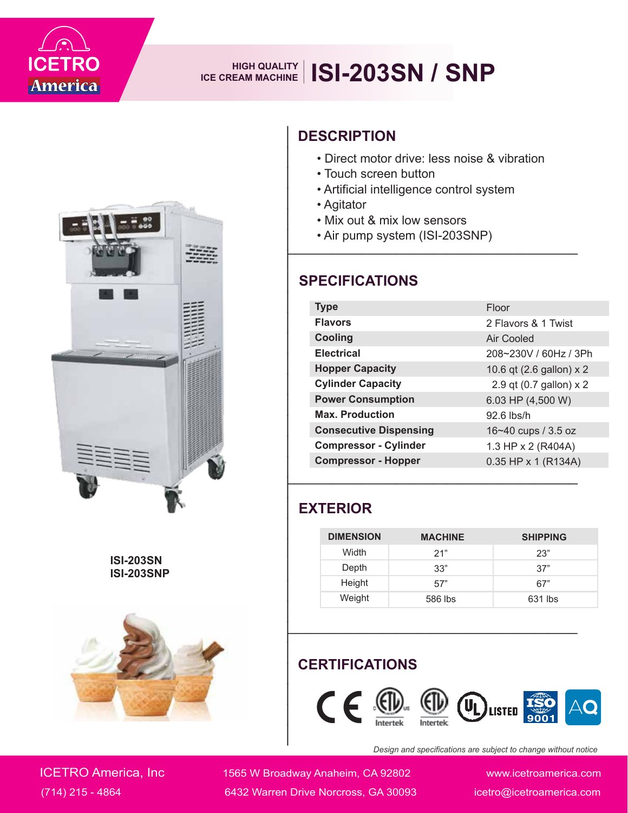

# **ICE CREAM MACHINE ISI-203SN** / SNP



**ISI-203SN ISI-203SNP**



#### **DESCRIPTION**

• Direct motor drive: less noise & vibration

**\_\_\_\_\_\_\_\_\_\_\_\_\_\_\_\_\_\_\_\_\_\_\_\_\_\_\_\_\_\_\_\_\_\_\_\_\_\_\_\_**

- Touch screen button
- Artificial intelligence control system
- Agitator
- Mix out & mix low sensors
- Air pump system (ISI-203SNP)

#### **SPECIFICATIONS**

| <b>Type</b>                   | Floor                    |  |
|-------------------------------|--------------------------|--|
| <b>Flavors</b>                | 2 Flavors & 1 Twist      |  |
| <b>Cooling</b>                | Air Cooled               |  |
| <b>Electrical</b>             | 208~230V / 60Hz / 3Ph    |  |
| <b>Hopper Capacity</b>        | 10.6 qt (2.6 gallon) x 2 |  |
| <b>Cylinder Capacity</b>      | 2.9 qt (0.7 gallon) x 2  |  |
| <b>Power Consumption</b>      | 6.03 HP (4,500 W)        |  |
| <b>Max. Production</b>        | $92.6$ lbs/h             |  |
| <b>Consecutive Dispensing</b> | 16~40 cups / 3.5 oz      |  |
| <b>Compressor - Cylinder</b>  | 1.3 HP x 2 (R404A)       |  |
| <b>Compressor - Hopper</b>    | $0.35$ HP x 1 (R134A)    |  |

#### **EXTERIOR**

**\_\_\_\_\_\_\_\_\_\_\_\_\_\_\_\_\_\_\_\_\_\_\_\_\_\_\_\_\_\_**

| <b>DIMENSION</b> | <b>MACHINE</b> | <b>SHIPPING</b> |
|------------------|----------------|-----------------|
| Width            | 21"            | 23"             |
| Depth            | 33"            | 37"             |
| Height           | 57"            | 67"             |
| Weight           | 586 lbs        | 631 lbs         |

**\_\_\_\_\_\_\_\_\_\_\_\_\_\_\_\_\_\_\_\_\_\_\_\_\_\_\_\_\_\_\_\_\_\_\_\_\_\_\_\_**

**\_\_\_\_\_\_\_\_\_\_\_\_\_\_\_\_\_\_\_\_\_\_\_\_\_\_\_\_\_\_\_\_\_\_\_\_\_\_\_\_**

### **CERTIFICATIONS**



*Design and specifications are subject to change without notice*

ICETRO America, Inc 1565 W Broadway Anaheim, CA 92802 www.icetroamerica.com (714) 215 - 4864 6432 Warren Drive Norcross, GA 30093 icetro@icetroamerica.com